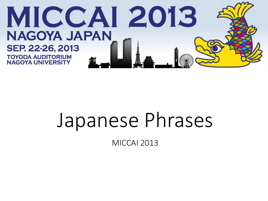

# Japanese Phrases

MICCAI 2013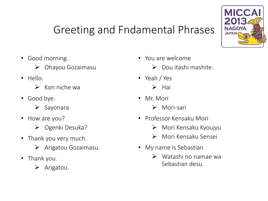### Greeting and Fndamental Phrases



- Good morning.
	- $\triangleright$  Ohayou Gozaimasu
- Hello.
	- $\triangleright$  Kon niche wa
- Good bye.
	- $\triangleright$  Sayonara
- How are you?
	- $\triangleright$  Ogenki Desuka?
- Thank you very much.
	- $\triangleright$  Arigatou Gozaimasu.
- Thank you.
	- $\triangleright$  Arigatou.
- You are welcome
	- $\triangleright$  Dou itashi mashite.
- Yeah / Yes
	- $\triangleright$  Hai
- Mr. Mori
	- Mori-san
- Professor Kensaku Mori
	- Mori Kensaku Kyoujyu
	- Mori Kensaku Sensei
- My name is Sebastian
	- Watashi no namae wa Sebastian desu.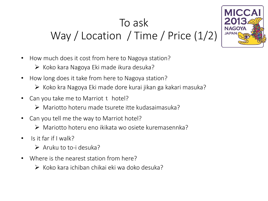## To ask Way / Location / Time / Price (1/2)



- How much does it cost from here to Nagoya station?
	- $\triangleright$  Koko kara Nagoya Eki made ikura desuka?
- How long does it take from here to Nagoya station?
	- $\triangleright$  Koko kra Nagoya Eki made dore kurai jikan ga kakari masuka?
- Can you take me to Marriot  $t$  hotel?
	- Mariotto hoteru made tsurete itte kudasaimasuka?
- Can you tell me the way to Marriot hotel?
	- Mariotto hoteru eno ikikata wo osiete kuremasennka?
- Is it far if I walk?
	- $\triangleright$  Aruku to to-i desuka?
- Where is the nearest station from here?
	- $\triangleright$  Koko kara ichiban chikai eki wa doko desuka?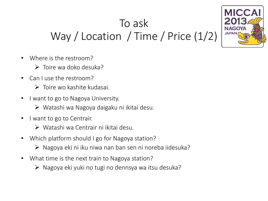## To ask Way / Location / Time / Price (1/2)



- Where is the restroom?
	- $\triangleright$  Toire wa doko desuka?
- Can I use the restroom?
	- $\triangleright$  Toire wo kashite kudasai.
- I want to go to Nagoya University.
	- Watashi wa Nagoya daigaku ni ikitai desu.
- I want to go to Centrair.
	- Watashi wa Centrair ni ikitai desu.
- Which platform should I go for Nagoya station?
	- $\triangleright$  Nagoya eki ni iku niwa nan ban sen ni noreba iidesuka?
- What time is the next train to Nagoya station?
	- $\triangleright$  Nagoya eki yuki no tugi no dennsya wa itsu desuka?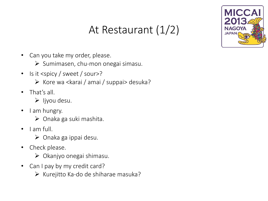### At Restaurant (1/2)



- Can you take my order, please.
	- $\triangleright$  Sumimasen, chu-mon onegai simasu.
- Is it <spicy / sweet / sour>?
	- $\triangleright$  Kore wa <karai / amai / suppai> desuka?
- That's all.
	- $\triangleright$  ljyou desu.
- I am hungry.
	- $\triangleright$  Onaka ga suki mashita.
- I am full.
	- $\triangleright$  Onaka ga ippai desu.
- Check please.
	- $\triangleright$  Okanjyo onegai shimasu.
- Can I pay by my credit card?
	- $\triangleright$  Kurejitto Ka-do de shiharae masuka?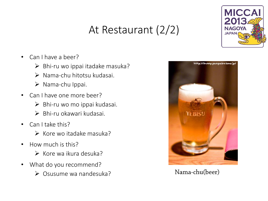### At Restaurant (2/2)



- Can I have a beer?
	- $\triangleright$  Bhi-ru wo ippai itadake masuka?
	- Nama-chu hitotsu kudasai.
	- $\triangleright$  Nama-chu Ippai.
- Can I have one more beer?
	- $\triangleright$  Bhi-ru wo mo ippai kudasai.
	- $\triangleright$  Bhi-ru okawari kudasai.
- Can I take this?
	- $\triangleright$  Kore wo itadake masuka?
- How much is this?
	- $\triangleright$  Kore wa ikura desuka?
- What do you recommend?
	- Osusume wa nandesuka?



Nama-chu(beer)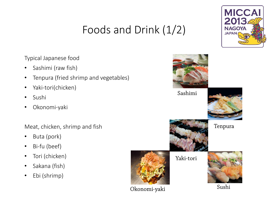### Foods and Drink (1/2)



Typical Japanese food

- Sashimi (raw fish)
- Tenpura (fried shrimp and vegetables)
- Yaki-tori(chicken)
- Sushi
- Okonomi-yaki

Meat, chicken, shrimp and fish

- Buta (pork)
- Bi-fu (beef)
- Tori (chicken)
- Sakana (fish)
- Ebi (shrimp)



Okonomi-yaki

Sushi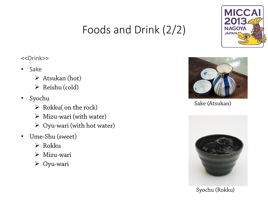### Foods and Drink (2/2)



#### <<Drink>>

- Sake
	- $\triangleright$  Atsukan (hot)
	- $\triangleright$  Reishu (cold)
- Syochu
	- $\triangleright$  Rokku( on the rock)
	- $\triangleright$  Mizu-wari (with water)
	- $\triangleright$  Oyu-wari (with hot water)
- Ume-Shu (sweet)  $\bullet$ 
	- $\triangleright$  Rokku
	- $\triangleright$  Mizu-wari
	- $\triangleright$  Oyu-wari



Sake (Atsukan)



Syochu (Rokku)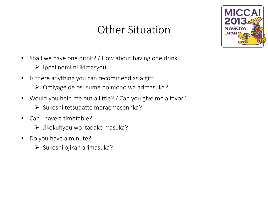### Other Situation



- Shall we have one drink? / How about having one drink?
	- $\triangleright$  Ippai nomi ni ikimasyou.
- Is there anything you can recommend as a gift?
	- Omiyage de osusume no mono wa arimasuka?
- Would you help me out a little? / Can you give me a favor?
	- $\triangleright$  Sukoshi tetsudatte moraemasennka?
- Can I have a timetable?
	- $\triangleright$  Jikokuhyou wo itadake masuka?
- Do you have a minute?
	- $\triangleright$  Sukoshi ojikan arimasuka?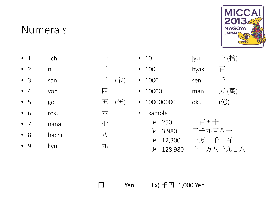### Numerals



• 1 ichi  $\longrightarrow$ • 2 ni  $\equiv$ • 3 san 三 (参) •  $4$  yon  $1\overline{11}$ • 5 go 五 (伍) • 6 roku 六 • 7 nana <del>七</del> • 8 hachi 八 • 9 kyu 九 • 10 jyu + (拾) • 100 hyaku 百 • 1000 sen 千 • 10000 man 万 (萬) • 100000000 oku (億) • Example ▶ 250 二百五十 3,980 三千九百八十 12,300 一万二千三百 ▶ 128,980 十二万八千九百八

円 Yen Ex) 千円 1,000 Yen

十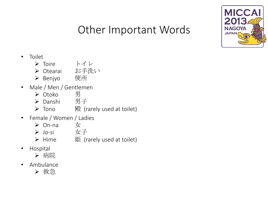

### Other Important Words

#### • Toilet

- Toire トイレ
- ▶ Otearai お手洗い
- ▶ Benjyo 便所
- Male / Men / Gentlemen
	- Otoko 男
	- Danshi 男子
	- **▶** Tono  $\mathbb{R}^L$  (rarely used at toilet)
- Female / Women / Ladies
	- On-na 女
	- Jo-si 女子
	- $\triangleright$  Hime 姬 (rarely used at toilet)
- Hospital
	- ▶ 病院
- Ambulance

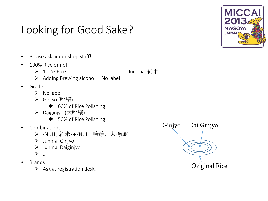### Looking for Good Sake?



- Please ask liquor shop staff!
- 100% Rice or not
	- ▶ 100% Rice Jun-mai 純米
	- $\triangleright$  Adding Brewing alcohol No label
- Grade
	- $\triangleright$  No label
	- Ginjyo (吟醸)
		- ◆ 60% of Rice Polishing
	- Daiginjyo (大吟醸)
		- ◆ 50% of Rice Polishing
- Combinations
	- **>** {NULL, 純米} + {NULL, 吟醸、大吟醸}
	- $\triangleright$  Junmai Ginjyo
	- Junmai Daiginjyo
	- …
- Brands
	- $\triangleright$  Ask at registration desk.